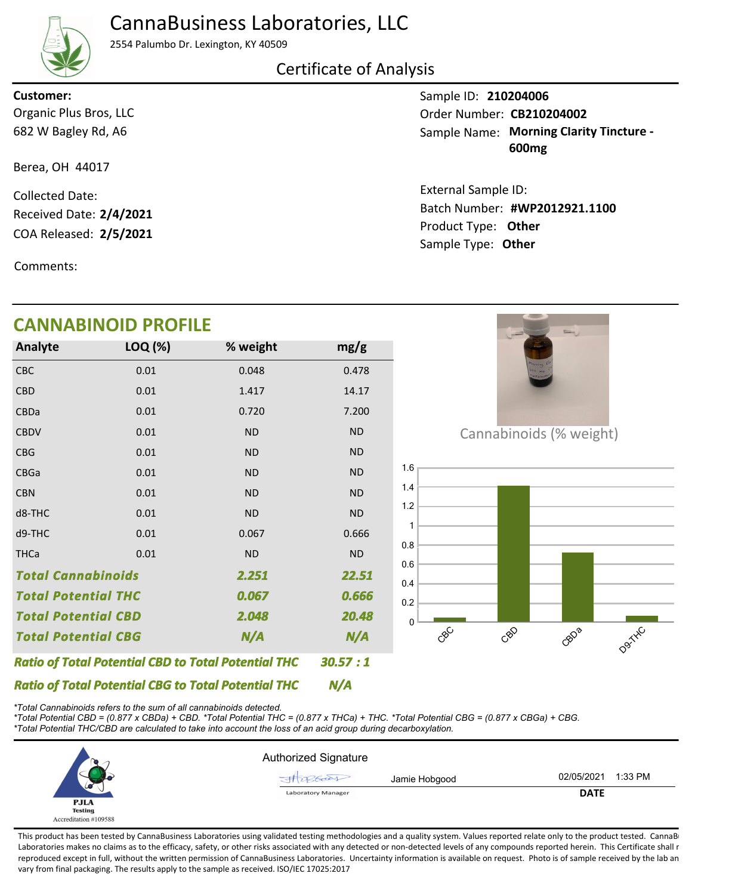## CannaBusiness Laboratories, LLC



2554 Palumbo Dr. Lexington, KY 40509

### Certificate of Analysis

682 W Bagley Rd, A6 Organic Plus Bros, LLC **Customer:**

Berea, OH 44017

COA Released: 2/5/2021 Collected Date: Received Date: **2/4/2021**

Comments:

## **CANNABINOID PROFILE**

| <b>Analyte</b>                                             | LOQ (%) | % weight  | mg/g      |
|------------------------------------------------------------|---------|-----------|-----------|
| CBC                                                        | 0.01    | 0.048     | 0.478     |
| <b>CBD</b>                                                 | 0.01    | 1.417     | 14.17     |
| CBDa                                                       | 0.01    | 0.720     | 7.200     |
| <b>CBDV</b>                                                | 0.01    | <b>ND</b> | <b>ND</b> |
| <b>CBG</b>                                                 | 0.01    | <b>ND</b> | <b>ND</b> |
| CBGa                                                       | 0.01    | <b>ND</b> | <b>ND</b> |
| <b>CBN</b>                                                 | 0.01    | <b>ND</b> | <b>ND</b> |
| d8-THC                                                     | 0.01    | <b>ND</b> | <b>ND</b> |
| d9-THC                                                     | 0.01    | 0.067     | 0.666     |
| <b>THCa</b>                                                | 0.01    | <b>ND</b> | <b>ND</b> |
| <b>Total Cannabinoids</b><br>2.251                         |         |           | 22.51     |
| <b>Total Potential THC</b>                                 |         | 0.067     | 0.666     |
| <b>Total Potential CBD</b>                                 |         | 2.048     | 20.48     |
| <b>Total Potential CBG</b><br>N/A                          |         |           | N/A       |
| <b>Ratio of Total Potential CBD to Total Potential THC</b> | 30.57:1 |           |           |

Product Type: **Other 2/5/2021** Sample Type: **Other**

**#WP2012921.1100** Batch Number:

Sample Name: Morning Clarity Tincture -**600mg**

Sample ID: **210204006**

External Sample ID:

Order Number: CB210204002



*Ratio of Total Potential CBG to Total Potential THC \*Total Cannabinoids refers to the sum of all cannabinoids detected.*

*\*Total Potential CBD = (0.877 x CBDa) + CBD. \*Total Potential THC = (0.877 x THCa) + THC. \*Total Potential CBG = (0.877 x CBGa) + CBG. \*Total Potential THC/CBD are calculated to take into account the loss of an acid group during decarboxylation.*



*N/A*

This product has been tested by CannaBusiness Laboratories using validated testing methodologies and a quality system. Values reported relate only to the product tested. CannaB Laboratories makes no claims as to the efficacy, safety, or other risks associated with any detected or non-detected levels of any compounds reported herein. This Certificate shall r reproduced except in full, without the written permission of CannaBusiness Laboratories. Uncertainty information is available on request. Photo is of sample received by the lab an vary from final packaging. The results apply to the sample as received. ISO/IEC 17025:2017